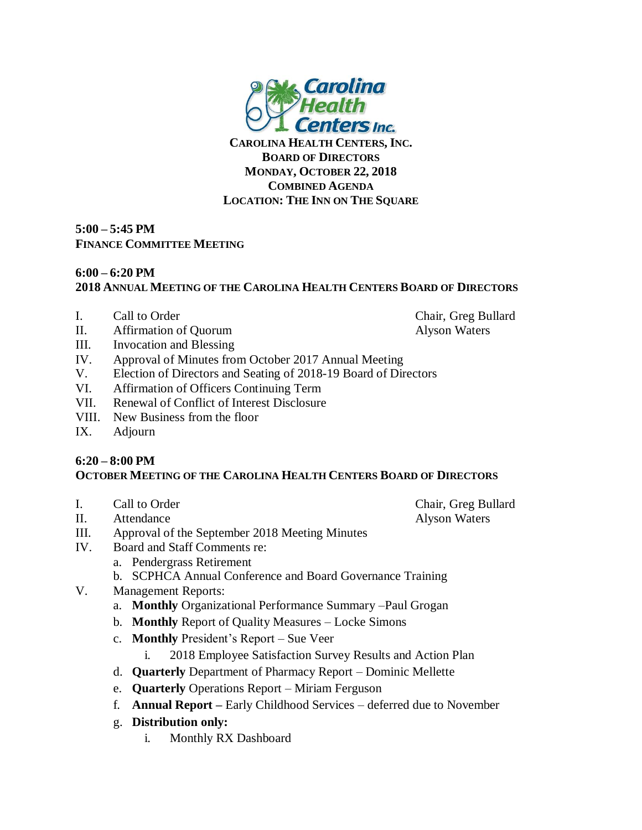

**CAROLINA HEALTH CENTERS, INC. BOARD OF DIRECTORS MONDAY, OCTOBER 22, 2018 COMBINED AGENDA LOCATION: THE INN ON THE SQUARE**

## **5:00 – 5:45 PM FINANCE COMMITTEE MEETING**

## **6:00 – 6:20 PM 2018 ANNUAL MEETING OF THE CAROLINA HEALTH CENTERS BOARD OF DIRECTORS**

- I. Call to Order Chair, Greg Bullard
- II. Affirmation of Quorum Alyson Waters
- 
- III. Invocation and Blessing
- IV. Approval of Minutes from October 2017 Annual Meeting
- V. Election of Directors and Seating of 2018-19 Board of Directors
- VI. Affirmation of Officers Continuing Term
- VII. Renewal of Conflict of Interest Disclosure
- VIII. New Business from the floor
- IX. Adjourn

## **6:20 – 8:00 PM OCTOBER MEETING OF THE CAROLINA HEALTH CENTERS BOARD OF DIRECTORS**

- I. Call to Order Chair, Greg Bullard
- II. Attendance Alyson Waters

- III. Approval of the September 2018 Meeting Minutes
- IV. Board and Staff Comments re:
	- a. Pendergrass Retirement
	- b. SCPHCA Annual Conference and Board Governance Training
- V. Management Reports:
	- a. **Monthly** Organizational Performance Summary –Paul Grogan
	- b. **Monthly** Report of Quality Measures Locke Simons
	- c. **Monthly** President's Report Sue Veer
		- i. 2018 Employee Satisfaction Survey Results and Action Plan
	- d. **Quarterly** Department of Pharmacy Report Dominic Mellette
	- e. **Quarterly** Operations Report Miriam Ferguson
	- f. **Annual Report –** Early Childhood Services deferred due to November
	- g. **Distribution only:**
		- i. Monthly RX Dashboard